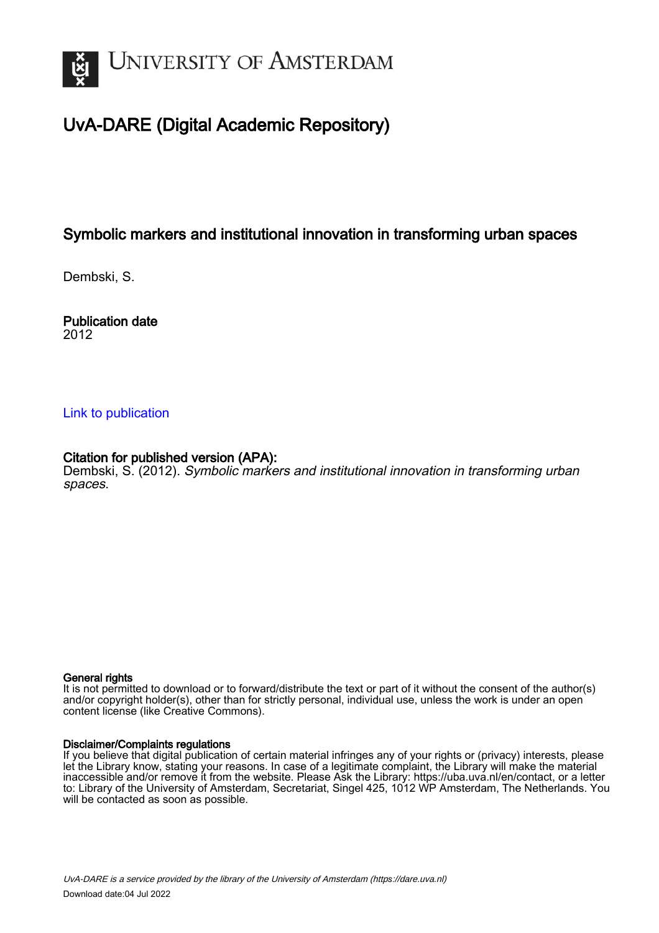

# UvA-DARE (Digital Academic Repository)

## Symbolic markers and institutional innovation in transforming urban spaces

Dembski, S.

Publication date 2012

### [Link to publication](https://dare.uva.nl/personal/pure/en/publications/symbolic-markers-and-institutional-innovation-in-transforming-urban-spaces(801c2baf-4526-482a-b83a-f8395aabf065).html)

### Citation for published version (APA):

Dembski, S. (2012). Symbolic markers and institutional innovation in transforming urban spaces.

#### General rights

It is not permitted to download or to forward/distribute the text or part of it without the consent of the author(s) and/or copyright holder(s), other than for strictly personal, individual use, unless the work is under an open content license (like Creative Commons).

#### Disclaimer/Complaints regulations

If you believe that digital publication of certain material infringes any of your rights or (privacy) interests, please let the Library know, stating your reasons. In case of a legitimate complaint, the Library will make the material inaccessible and/or remove it from the website. Please Ask the Library: https://uba.uva.nl/en/contact, or a letter to: Library of the University of Amsterdam, Secretariat, Singel 425, 1012 WP Amsterdam, The Netherlands. You will be contacted as soon as possible.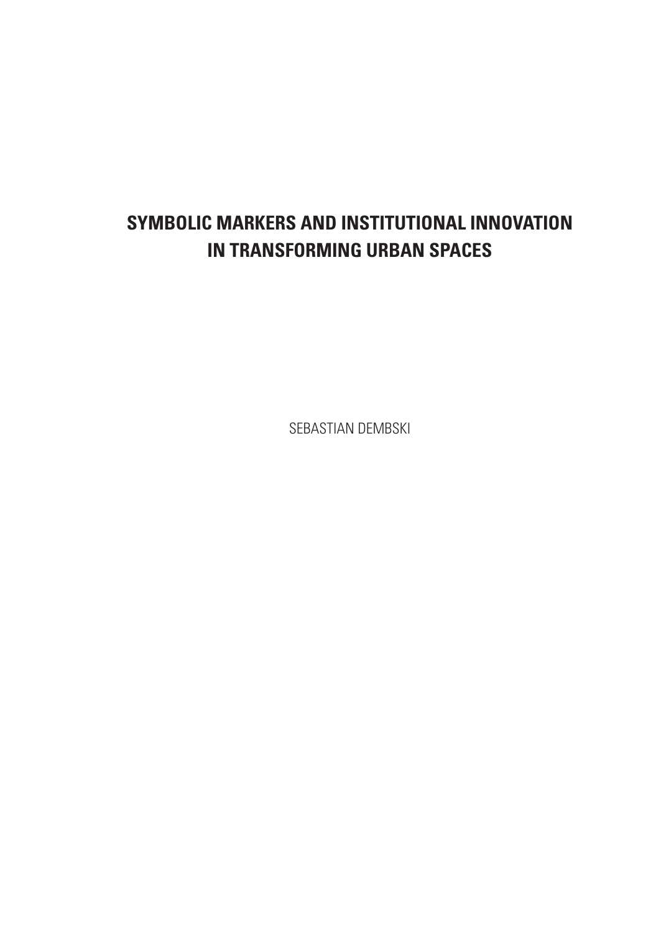# **SYMBOLIC MARKERS AND INSTITUTIONAL INNOVATION IN TRANSFORMING URBAN SPACES**

SEBASTIAN DEMBSKI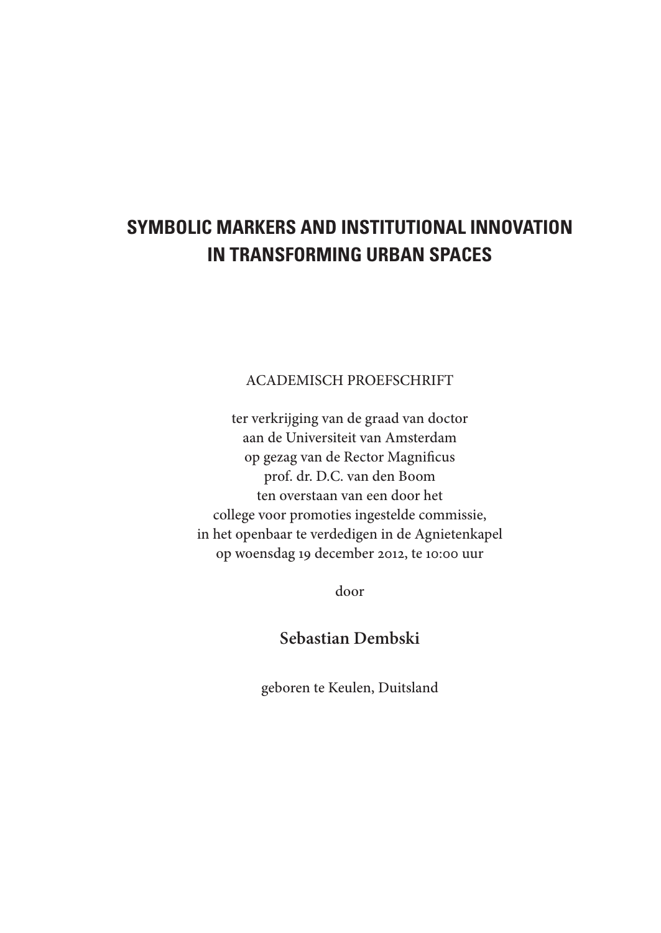# **SYMBOLIC MARKERS AND INSTITUTIONAL INNOVATION IN TRANSFORMING URBAN SPACES**

ACADEMISCH PROEFSCHRIFT

ter verkrijging van de graad van doctor aan de Universiteit van Amsterdam op gezag van de Rector Magnificus prof. dr. D.C. van den Boom ten overstaan van een door het college voor promoties ingestelde commissie, in het openbaar te verdedigen in de Agnietenkapel op woensdag 19 december 2012, te 10:00 uur

door

**Sebastian Dembski**

geboren te Keulen, Duitsland